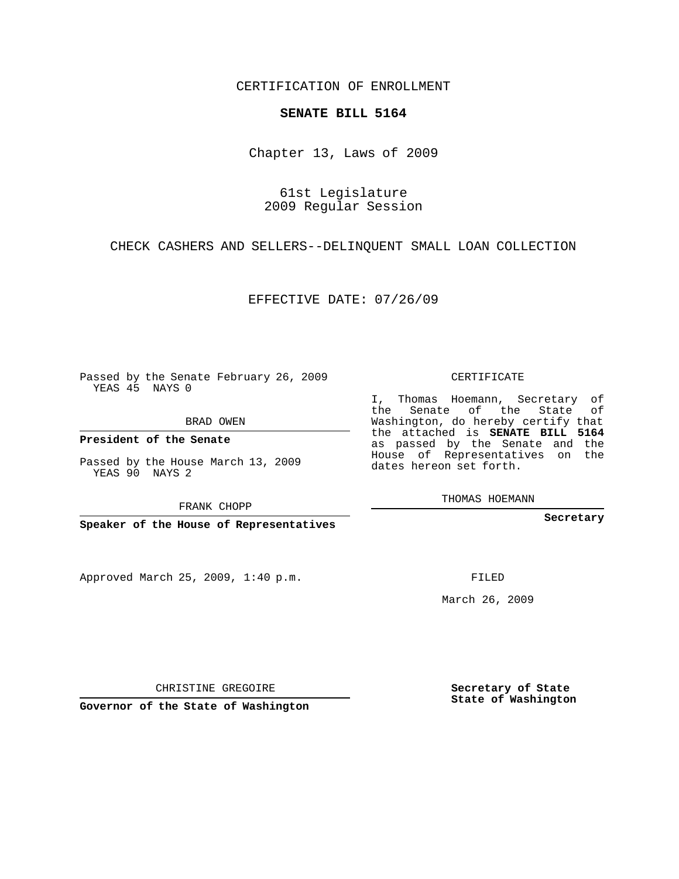CERTIFICATION OF ENROLLMENT

## **SENATE BILL 5164**

Chapter 13, Laws of 2009

61st Legislature 2009 Regular Session

CHECK CASHERS AND SELLERS--DELINQUENT SMALL LOAN COLLECTION

EFFECTIVE DATE: 07/26/09

Passed by the Senate February 26, 2009 YEAS 45 NAYS 0

BRAD OWEN

**President of the Senate**

Passed by the House March 13, 2009 YEAS 90 NAYS 2

FRANK CHOPP

**Speaker of the House of Representatives**

Approved March 25, 2009, 1:40 p.m.

CERTIFICATE

I, Thomas Hoemann, Secretary of the Senate of the State of Washington, do hereby certify that the attached is **SENATE BILL 5164** as passed by the Senate and the House of Representatives on the dates hereon set forth.

THOMAS HOEMANN

**Secretary**

FILED

March 26, 2009

**Secretary of State State of Washington**

CHRISTINE GREGOIRE

**Governor of the State of Washington**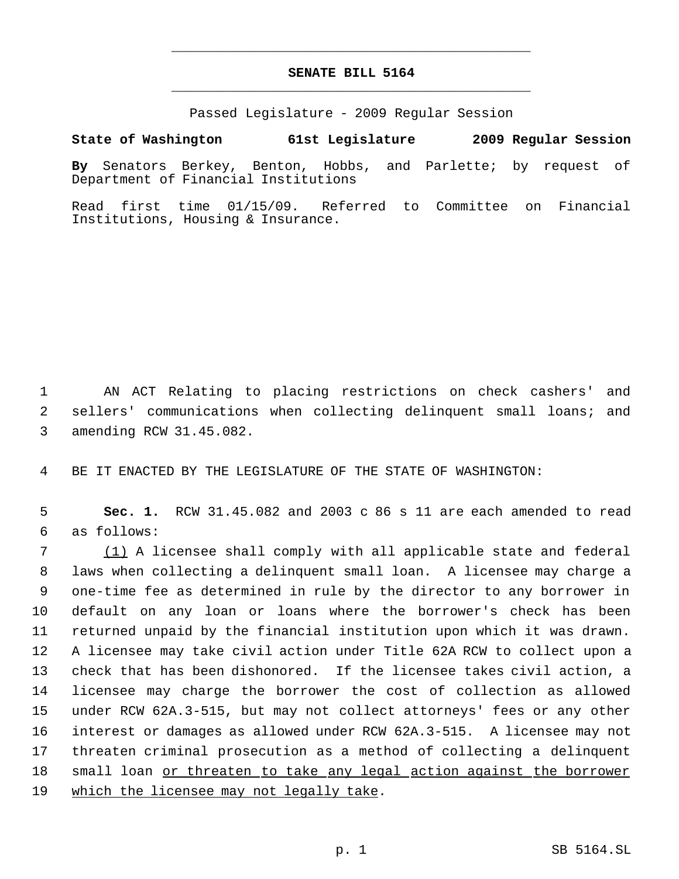## **SENATE BILL 5164** \_\_\_\_\_\_\_\_\_\_\_\_\_\_\_\_\_\_\_\_\_\_\_\_\_\_\_\_\_\_\_\_\_\_\_\_\_\_\_\_\_\_\_\_\_

\_\_\_\_\_\_\_\_\_\_\_\_\_\_\_\_\_\_\_\_\_\_\_\_\_\_\_\_\_\_\_\_\_\_\_\_\_\_\_\_\_\_\_\_\_

Passed Legislature - 2009 Regular Session

## **State of Washington 61st Legislature 2009 Regular Session**

**By** Senators Berkey, Benton, Hobbs, and Parlette; by request of Department of Financial Institutions

Read first time 01/15/09. Referred to Committee on Financial Institutions, Housing & Insurance.

 1 AN ACT Relating to placing restrictions on check cashers' and 2 sellers' communications when collecting delinquent small loans; and 3 amending RCW 31.45.082.

4 BE IT ENACTED BY THE LEGISLATURE OF THE STATE OF WASHINGTON:

 5 **Sec. 1.** RCW 31.45.082 and 2003 c 86 s 11 are each amended to read 6 as follows:

 (1) A licensee shall comply with all applicable state and federal laws when collecting a delinquent small loan. A licensee may charge a one-time fee as determined in rule by the director to any borrower in default on any loan or loans where the borrower's check has been returned unpaid by the financial institution upon which it was drawn. A licensee may take civil action under Title 62A RCW to collect upon a check that has been dishonored. If the licensee takes civil action, a licensee may charge the borrower the cost of collection as allowed under RCW 62A.3-515, but may not collect attorneys' fees or any other interest or damages as allowed under RCW 62A.3-515. A licensee may not threaten criminal prosecution as a method of collecting a delinquent 18 small loan or threaten to take any legal action against the borrower 19 which the licensee may not legally take.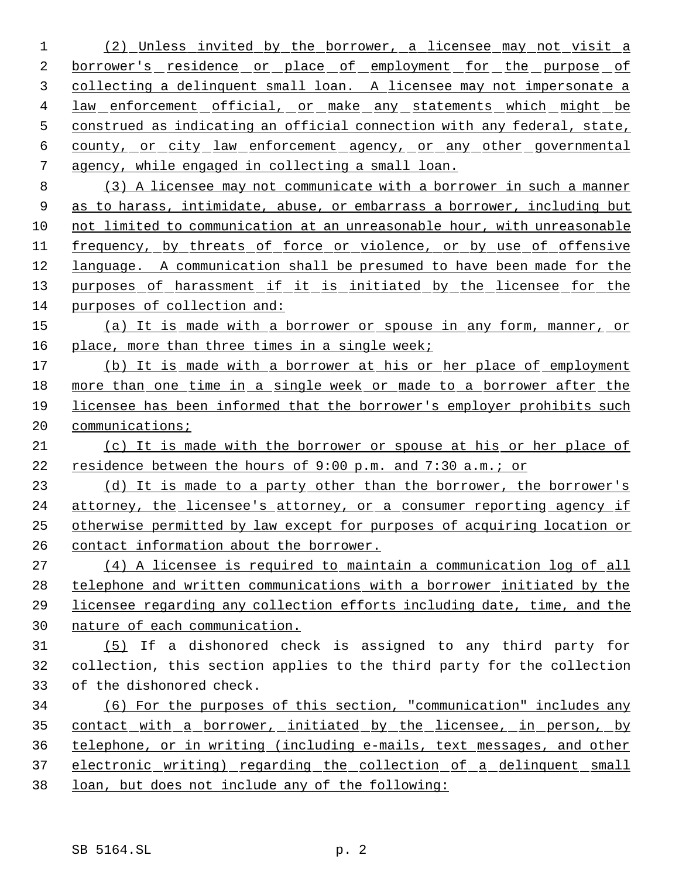(2) Unless invited by the borrower, a licensee may not visit a 2 borrower's residence or place of employment for the purpose of collecting a delinquent small loan. A licensee may not impersonate a 4 law enforcement official, or make any statements which might be construed as indicating an official connection with any federal, state, county, or city law enforcement agency, or any other governmental agency, while engaged in collecting a small loan.

 (3) A licensee may not communicate with a borrower in such a manner as to harass, intimidate, abuse, or embarrass a borrower, including but 10 not limited to communication at an unreasonable hour, with unreasonable 11 frequency, by threats of force or violence, or by use of offensive language. A communication shall be presumed to have been made for the 13 purposes of harassment if it is initiated by the licensee for the purposes of collection and:

 (a) It is made with a borrower or spouse in any form, manner, or place, more than three times in a single week;

17 (b) It is made with a borrower at his or her place of employment more than one time in a single week or made to a borrower after the licensee has been informed that the borrower's employer prohibits such 20 communications;

 (c) It is made with the borrower or spouse at his or her place of 22 residence between the hours of 9:00 p.m. and 7:30 a.m.; or

 (d) It is made to a party other than the borrower, the borrower's attorney, the licensee's attorney, or a consumer reporting agency if otherwise permitted by law except for purposes of acquiring location or contact information about the borrower.

 (4) A licensee is required to maintain a communication log of all telephone and written communications with a borrower initiated by the licensee regarding any collection efforts including date, time, and the nature of each communication.

 (5) If a dishonored check is assigned to any third party for collection, this section applies to the third party for the collection of the dishonored check.

 (6) For the purposes of this section, "communication" includes any contact with a borrower, initiated by the licensee, in person, by telephone, or in writing (including e-mails, text messages, and other 37 electronic writing) regarding the collection of a delinquent small loan, but does not include any of the following: